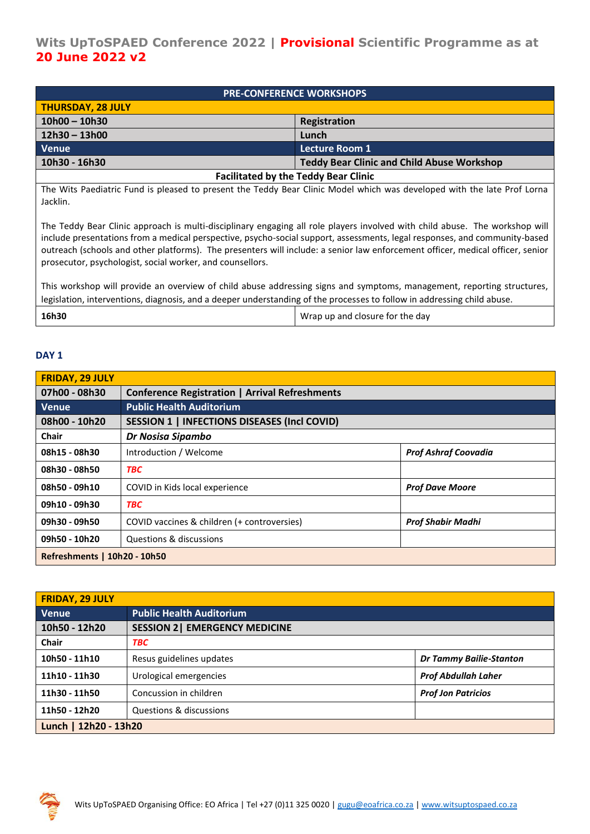| <b>PRE-CONFERENCE WORKSHOPS</b>             |                                                   |  |
|---------------------------------------------|---------------------------------------------------|--|
| <b>THURSDAY, 28 JULY</b>                    |                                                   |  |
| $10h00 - 10h30$                             | Registration                                      |  |
| $12h30 - 13h00$                             | Lunch                                             |  |
| Venue                                       | <b>Lecture Room 1</b>                             |  |
| 10h30 - 16h30                               | <b>Teddy Bear Clinic and Child Abuse Workshop</b> |  |
| <b>Facilitated by the Teddy Bear Clinic</b> |                                                   |  |

The Wits Paediatric Fund is pleased to present the Teddy Bear Clinic Model which was developed with the late Prof Lorna Jacklin.

The Teddy Bear Clinic approach is multi-disciplinary engaging all role players involved with child abuse. The workshop will include presentations from a medical perspective, psycho-social support, assessments, legal responses, and community-based outreach (schools and other platforms). The presenters will include: a senior law enforcement officer, medical officer, senior prosecutor, psychologist, social worker, and counsellors.

This workshop will provide an overview of child abuse addressing signs and symptoms, management, reporting structures, legislation, interventions, diagnosis, and a deeper understanding of the processes to follow in addressing child abuse.

| 16h30<br>Wrap up and closure for the day |  |  |
|------------------------------------------|--|--|
|------------------------------------------|--|--|

## **DAY 1**

| <b>FRIDAY, 29 JULY</b>       |                                                       |                             |
|------------------------------|-------------------------------------------------------|-----------------------------|
| 07h00 - 08h30                | <b>Conference Registration   Arrival Refreshments</b> |                             |
| Venue.                       | <b>Public Health Auditorium</b>                       |                             |
| 08h00 - 10h20                | <b>SESSION 1   INFECTIONS DISEASES (Incl COVID)</b>   |                             |
| <b>Chair</b>                 | Dr Nosisa Sipambo                                     |                             |
| 08h15 - 08h30                | Introduction / Welcome                                | <b>Prof Ashraf Coovadia</b> |
| 08h30 - 08h50                | <b>TBC</b>                                            |                             |
| 08h50 - 09h10                | COVID in Kids local experience                        | <b>Prof Dave Moore</b>      |
| 09h10 - 09h30                | <b>TBC</b>                                            |                             |
| 09h30 - 09h50                | COVID vaccines & children (+ controversies)           | <b>Prof Shabir Madhi</b>    |
| 09h50 - 10h20                | Questions & discussions                               |                             |
| Refreshments   10h20 - 10h50 |                                                       |                             |

| <b>FRIDAY, 29 JULY</b> |                                       |                                |
|------------------------|---------------------------------------|--------------------------------|
| Venue                  | <b>Public Health Auditorium</b>       |                                |
| 10h50 - 12h20          | <b>SESSION 2   EMERGENCY MEDICINE</b> |                                |
| <b>Chair</b>           | TBC                                   |                                |
| 10h50 - 11h10          | Resus guidelines updates              | <b>Dr Tammy Bailie-Stanton</b> |
| 11h10 - 11h30          | Urological emergencies                | <b>Prof Abdullah Laher</b>     |
| 11h30 - 11h50          | Concussion in children                | <b>Prof Jon Patricios</b>      |
| 11h50 - 12h20          | Questions & discussions               |                                |
| Lunch   12h20 - 13h20  |                                       |                                |

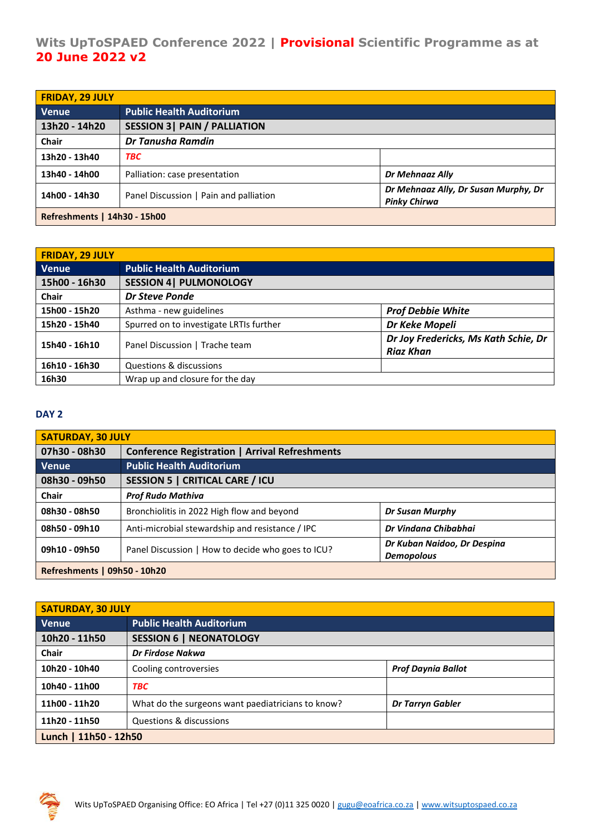## **Wits UpToSPAED Conference 2022 | Provisional Scientific Programme as at 20 June 2022 v2**

| <b>FRIDAY, 29 JULY</b>       |                                        |                                                             |
|------------------------------|----------------------------------------|-------------------------------------------------------------|
| <b>Venue</b>                 | <b>Public Health Auditorium</b>        |                                                             |
| 13h20 - 14h20                | <b>SESSION 3   PAIN / PALLIATION</b>   |                                                             |
| <b>Chair</b>                 | Dr Tanusha Ramdin                      |                                                             |
| 13h20 - 13h40                | <b>TBC</b>                             |                                                             |
| 13h40 - 14h00                | Palliation: case presentation          | Dr Mehnaaz Ally                                             |
| 14h00 - 14h30                | Panel Discussion   Pain and palliation | Dr Mehnaaz Ally, Dr Susan Murphy, Dr<br><b>Pinky Chirwa</b> |
| Refreshments   14h30 - 15h00 |                                        |                                                             |

| <b>FRIDAY, 29 JULY</b> |                                         |                                                          |
|------------------------|-----------------------------------------|----------------------------------------------------------|
| <b>Venue</b>           | <b>Public Health Auditorium</b>         |                                                          |
| 15h00 - 16h30          | <b>SESSION 4  PULMONOLOGY</b>           |                                                          |
| Chair                  | <b>Dr Steve Ponde</b>                   |                                                          |
| 15h00 - 15h20          | Asthma - new guidelines                 | <b>Prof Debbie White</b>                                 |
| 15h20 - 15h40          | Spurred on to investigate LRTIs further | Dr Keke Mopeli                                           |
| 15h40 - 16h10          | Panel Discussion   Trache team          | Dr Joy Fredericks, Ms Kath Schie, Dr<br><b>Riaz Khan</b> |
| 16h10 - 16h30          | Questions & discussions                 |                                                          |
| 16h30                  | Wrap up and closure for the day         |                                                          |

## **DAY 2**

| <b>SATURDAY, 30 JULY</b>     |                                                       |                                                  |
|------------------------------|-------------------------------------------------------|--------------------------------------------------|
| 07h30 - 08h30                | <b>Conference Registration   Arrival Refreshments</b> |                                                  |
| Venue                        | <b>Public Health Auditorium</b>                       |                                                  |
| 08h30 - 09h50                | <b>SESSION 5   CRITICAL CARE / ICU</b>                |                                                  |
| <b>Chair</b>                 | <b>Prof Rudo Mathiva</b>                              |                                                  |
| 08h30 - 08h50                | Bronchiolitis in 2022 High flow and beyond            | Dr Susan Murphy                                  |
| 08h50 - 09h10                | Anti-microbial stewardship and resistance / IPC       | Dr Vindana Chibabhai                             |
| 09h10 - 09h50                | Panel Discussion   How to decide who goes to ICU?     | Dr Kuban Naidoo, Dr Despina<br><b>Demopolous</b> |
| Refreshments   09h50 - 10h20 |                                                       |                                                  |

| <b>SATURDAY, 30 JULY</b> |                                                   |                           |
|--------------------------|---------------------------------------------------|---------------------------|
| <b>Venue</b>             | <b>Public Health Auditorium</b>                   |                           |
| 10h20 - 11h50            | <b>SESSION 6   NEONATOLOGY</b>                    |                           |
| Chair                    | Dr Firdose Nakwa                                  |                           |
| 10h20 - 10h40            | Cooling controversies                             | <b>Prof Daynia Ballot</b> |
| 10h40 - 11h00            | <b>TBC</b>                                        |                           |
| 11h00 - 11h20            | What do the surgeons want paediatricians to know? | <b>Dr Tarryn Gabler</b>   |
| 11h20 - 11h50            | Questions & discussions                           |                           |
| Lunch   11h50 - 12h50    |                                                   |                           |